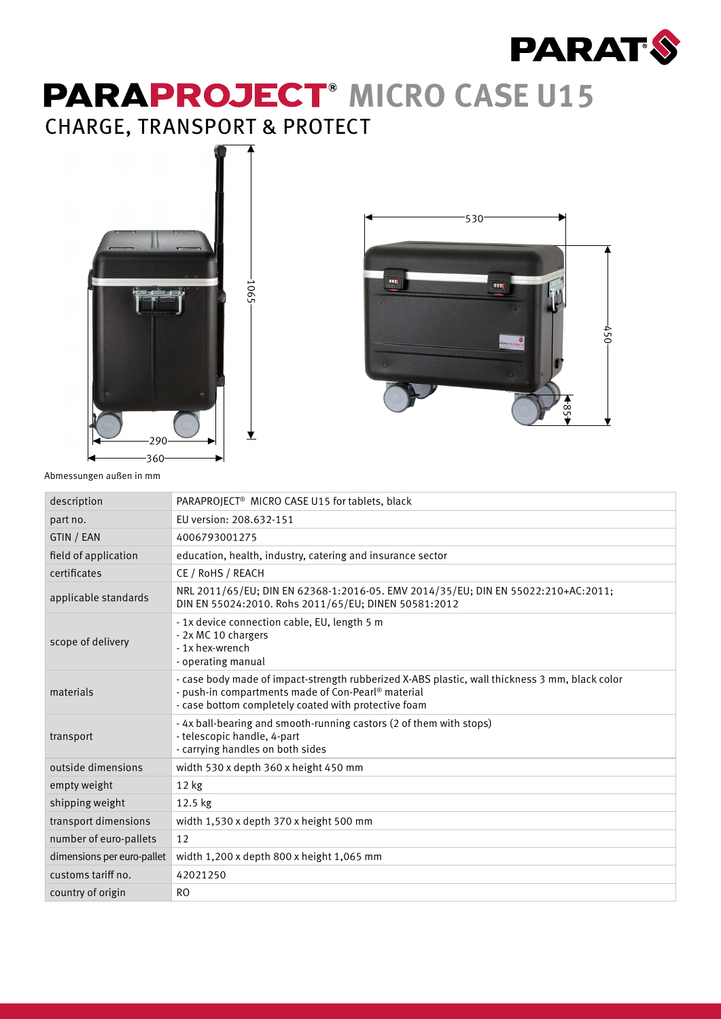

## **PARAPROJECT<sup>®</sup> MICRO CASE U15** CHARGE, TRANSPORT & PROTECT





Abmessungen außen in mm

| description                | PARAPROJECT <sup>®</sup> MICRO CASE U15 for tablets, black                                                                                                                                                               |
|----------------------------|--------------------------------------------------------------------------------------------------------------------------------------------------------------------------------------------------------------------------|
| part no.                   | EU version: 208.632-151                                                                                                                                                                                                  |
| GTIN / EAN                 | 4006793001275                                                                                                                                                                                                            |
| field of application       | education, health, industry, catering and insurance sector                                                                                                                                                               |
| certificates               | CE / RoHS / REACH                                                                                                                                                                                                        |
| applicable standards       | NRL 2011/65/EU; DIN EN 62368-1:2016-05. EMV 2014/35/EU; DIN EN 55022:210+AC:2011;<br>DIN EN 55024:2010. Rohs 2011/65/EU; DINEN 50581:2012                                                                                |
| scope of delivery          | - 1x device connection cable, EU, length 5 m<br>- 2x MC 10 chargers<br>- 1x hex-wrench<br>- operating manual                                                                                                             |
| materials                  | - case body made of impact-strength rubberized X-ABS plastic, wall thickness 3 mm, black color<br>- push-in compartments made of Con-Pearl <sup>®</sup> material<br>- case bottom completely coated with protective foam |
| transport                  | - 4x ball-bearing and smooth-running castors (2 of them with stops)<br>- telescopic handle, 4-part<br>- carrying handles on both sides                                                                                   |
| outside dimensions         | width 530 x depth 360 x height 450 mm                                                                                                                                                                                    |
| empty weight               | $12$ kg                                                                                                                                                                                                                  |
| shipping weight            | $12.5$ kg                                                                                                                                                                                                                |
| transport dimensions       | width 1,530 x depth 370 x height 500 mm                                                                                                                                                                                  |
| number of euro-pallets     | 12                                                                                                                                                                                                                       |
| dimensions per euro-pallet | width 1,200 x depth 800 x height 1,065 mm                                                                                                                                                                                |
| customs tariff no.         | 42021250                                                                                                                                                                                                                 |
| country of origin          | <b>RO</b>                                                                                                                                                                                                                |